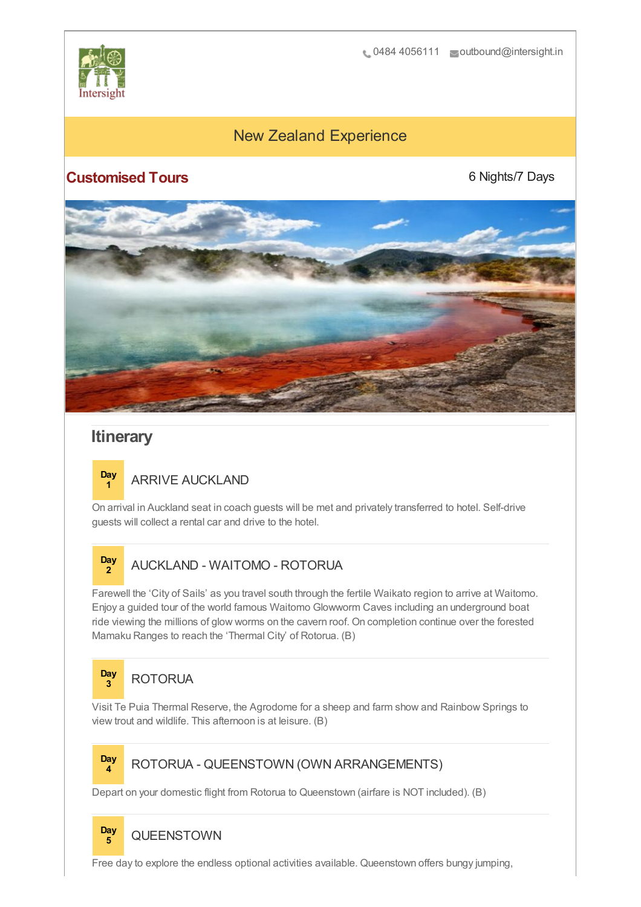

# New Zealand Experience

# **Customised Tours**

6 Nights/7 Days



# **Itinerary**

#### **Day <sup>1</sup>** ARRIVE AUCKLAND

On arrival in Auckland seat in coach guests will be met and privately transferred to hotel. Self-drive guests will collect a rental car and drive to the hotel.

#### **Day <sup>2</sup>** AUCKLAND - WAITOMO - ROTORUA

Farewell the 'City of Sails' as you travel south through the fertile Waikato region to arrive at Waitomo. Enjoy a guided tour of the world famous Waitomo Glowworm Caves including an underground boat ride viewing the millions of glow worms on the cavern roof. On completion continue over the forested Mamaku Ranges to reach the 'Thermal City' of Rotorua. (B)

### **Day <sup>3</sup>** ROTORUA

Visit Te Puia Thermal Reserve, the Agrodome for a sheep and farm show and Rainbow Springs to view trout and wildlife. This afternoon is at leisure. (B)

# **Day**

## **<sup>4</sup>** ROTORUA - QUEENSTOWN (OWN ARRANGEMENTS)

Depart on your domestic flight from Rotorua to Queenstown (airfare is NOT included). (B)

#### **Day <sup>5</sup>** QUEENSTOWN

Free day to explore the endless optional activities available. Queenstown offers bungy jumping,